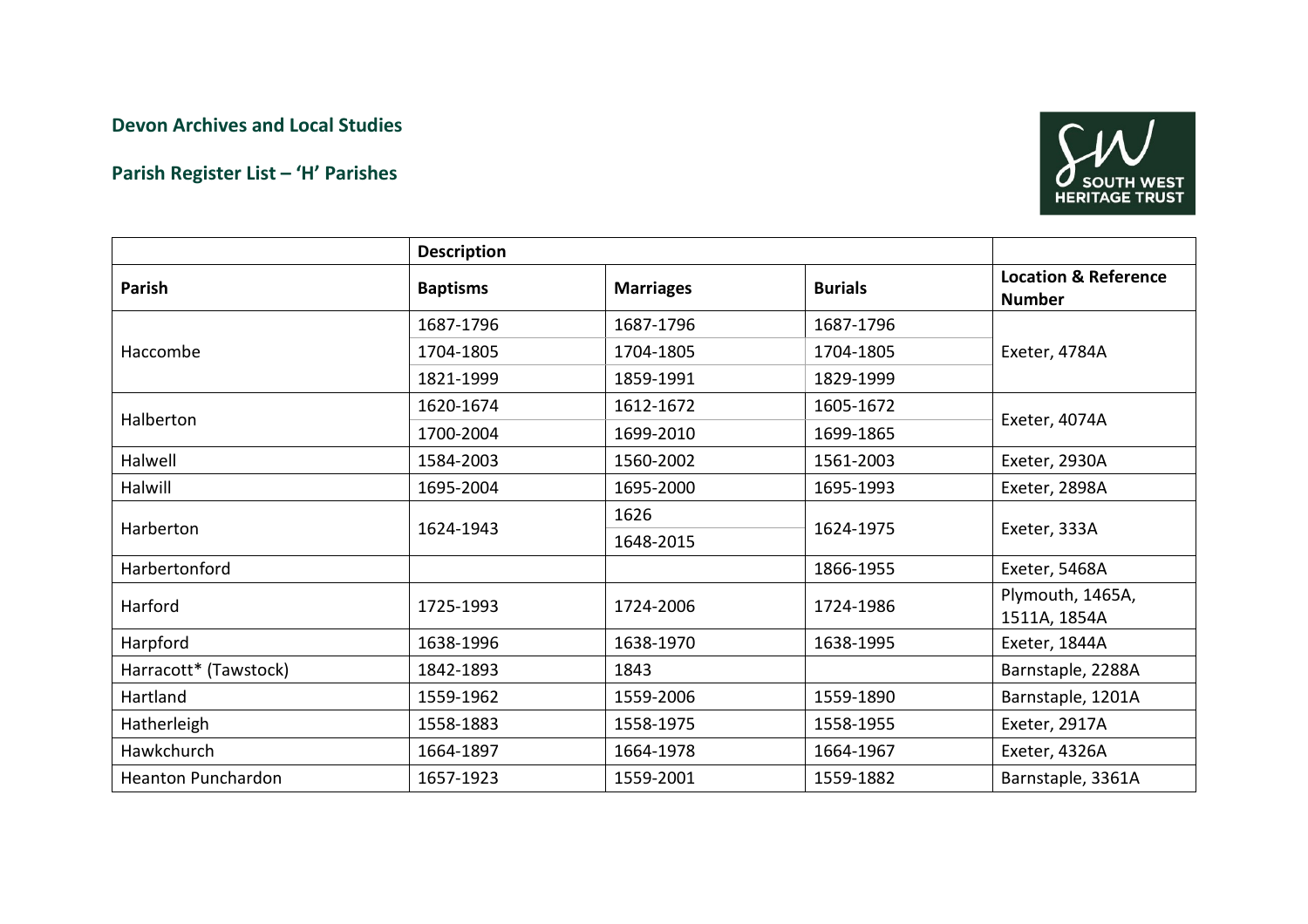## Devon Archives and Local Studies

## Parish Register List – 'H' Parishes



|                           | <b>Description</b> |                  |                |                                                  |
|---------------------------|--------------------|------------------|----------------|--------------------------------------------------|
| Parish                    | <b>Baptisms</b>    | <b>Marriages</b> | <b>Burials</b> | <b>Location &amp; Reference</b><br><b>Number</b> |
| Haccombe                  | 1687-1796          | 1687-1796        | 1687-1796      | Exeter, 4784A                                    |
|                           | 1704-1805          | 1704-1805        | 1704-1805      |                                                  |
|                           | 1821-1999          | 1859-1991        | 1829-1999      |                                                  |
| Halberton                 | 1620-1674          | 1612-1672        | 1605-1672      | Exeter, 4074A                                    |
|                           | 1700-2004          | 1699-2010        | 1699-1865      |                                                  |
| Halwell                   | 1584-2003          | 1560-2002        | 1561-2003      | Exeter, 2930A                                    |
| Halwill                   | 1695-2004          | 1695-2000        | 1695-1993      | Exeter, 2898A                                    |
| Harberton                 | 1624-1943          | 1626             | 1624-1975      | Exeter, 333A                                     |
|                           |                    | 1648-2015        |                |                                                  |
| Harbertonford             |                    |                  | 1866-1955      | Exeter, 5468A                                    |
| Harford                   | 1725-1993          | 1724-2006        | 1724-1986      | Plymouth, 1465A,<br>1511A, 1854A                 |
| Harpford                  | 1638-1996          | 1638-1970        | 1638-1995      | Exeter, 1844A                                    |
| Harracott* (Tawstock)     | 1842-1893          | 1843             |                | Barnstaple, 2288A                                |
| Hartland                  | 1559-1962          | 1559-2006        | 1559-1890      | Barnstaple, 1201A                                |
| Hatherleigh               | 1558-1883          | 1558-1975        | 1558-1955      | Exeter, 2917A                                    |
| Hawkchurch                | 1664-1897          | 1664-1978        | 1664-1967      | Exeter, 4326A                                    |
| <b>Heanton Punchardon</b> | 1657-1923          | 1559-2001        | 1559-1882      | Barnstaple, 3361A                                |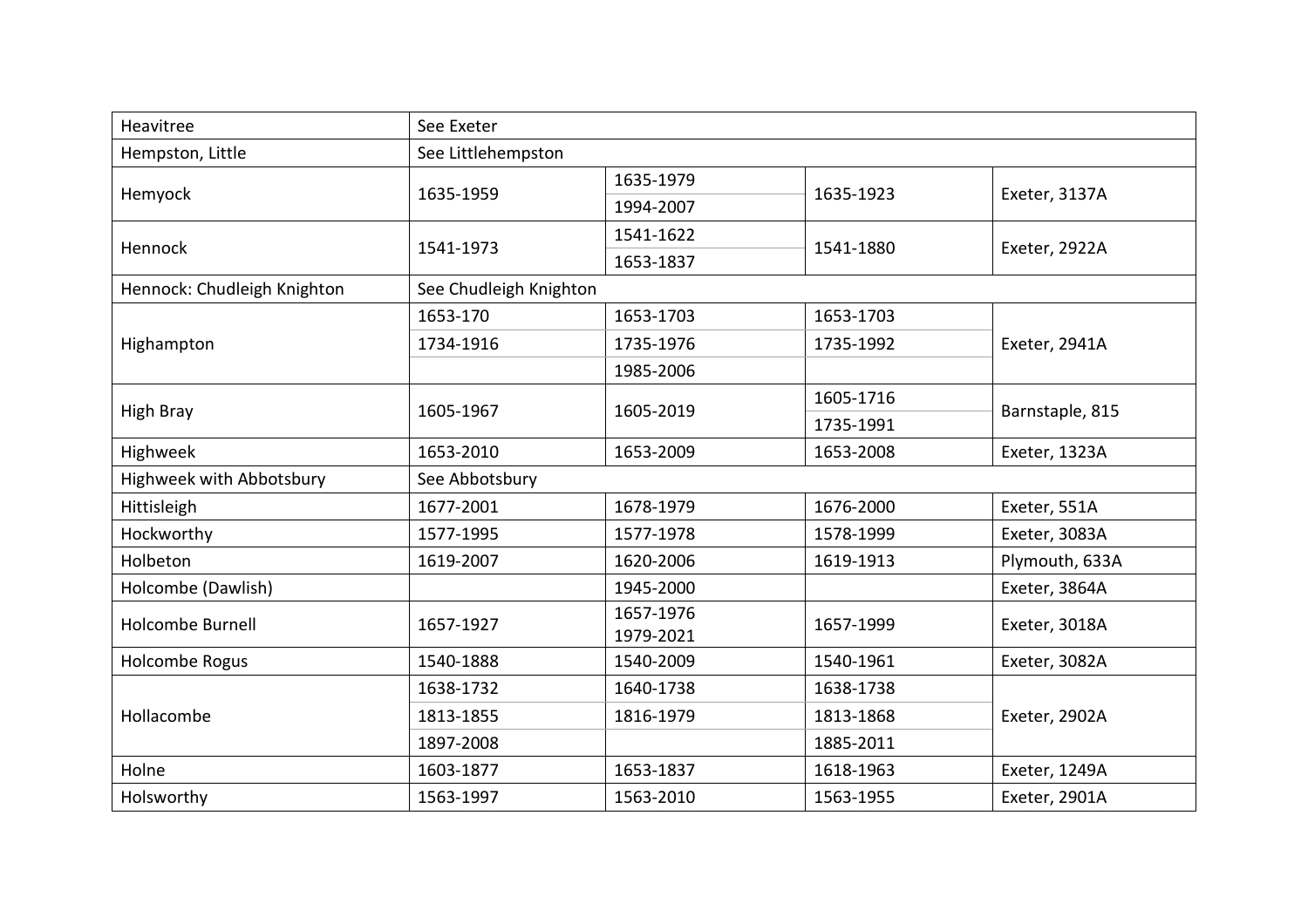| Heavitree                   | See Exeter             |                        |           |                 |  |
|-----------------------------|------------------------|------------------------|-----------|-----------------|--|
| Hempston, Little            | See Littlehempston     |                        |           |                 |  |
| Hemyock                     | 1635-1959              | 1635-1979              | 1635-1923 | Exeter, 3137A   |  |
|                             |                        | 1994-2007              |           |                 |  |
|                             | 1541-1973              | 1541-1622              | 1541-1880 | Exeter, 2922A   |  |
| Hennock                     |                        | 1653-1837              |           |                 |  |
| Hennock: Chudleigh Knighton | See Chudleigh Knighton |                        |           |                 |  |
|                             | 1653-170               | 1653-1703              | 1653-1703 | Exeter, 2941A   |  |
| Highampton                  | 1734-1916              | 1735-1976              | 1735-1992 |                 |  |
|                             |                        | 1985-2006              |           |                 |  |
|                             | 1605-1967              | 1605-2019              | 1605-1716 | Barnstaple, 815 |  |
| High Bray                   |                        |                        | 1735-1991 |                 |  |
| Highweek                    | 1653-2010              | 1653-2009              | 1653-2008 | Exeter, 1323A   |  |
| Highweek with Abbotsbury    | See Abbotsbury         |                        |           |                 |  |
| Hittisleigh                 | 1677-2001              | 1678-1979              | 1676-2000 | Exeter, 551A    |  |
| Hockworthy                  | 1577-1995              | 1577-1978              | 1578-1999 | Exeter, 3083A   |  |
| Holbeton                    | 1619-2007              | 1620-2006              | 1619-1913 | Plymouth, 633A  |  |
| Holcombe (Dawlish)          |                        | 1945-2000              |           | Exeter, 3864A   |  |
| <b>Holcombe Burnell</b>     | 1657-1927              | 1657-1976<br>1979-2021 | 1657-1999 | Exeter, 3018A   |  |
| Holcombe Rogus              | 1540-1888              | 1540-2009              | 1540-1961 | Exeter, 3082A   |  |
| Hollacombe                  | 1638-1732              | 1640-1738              | 1638-1738 | Exeter, 2902A   |  |
|                             | 1813-1855              | 1816-1979              | 1813-1868 |                 |  |
|                             | 1897-2008              |                        | 1885-2011 |                 |  |
| Holne                       | 1603-1877              | 1653-1837              | 1618-1963 | Exeter, 1249A   |  |
| Holsworthy                  | 1563-1997              | 1563-2010              | 1563-1955 | Exeter, 2901A   |  |